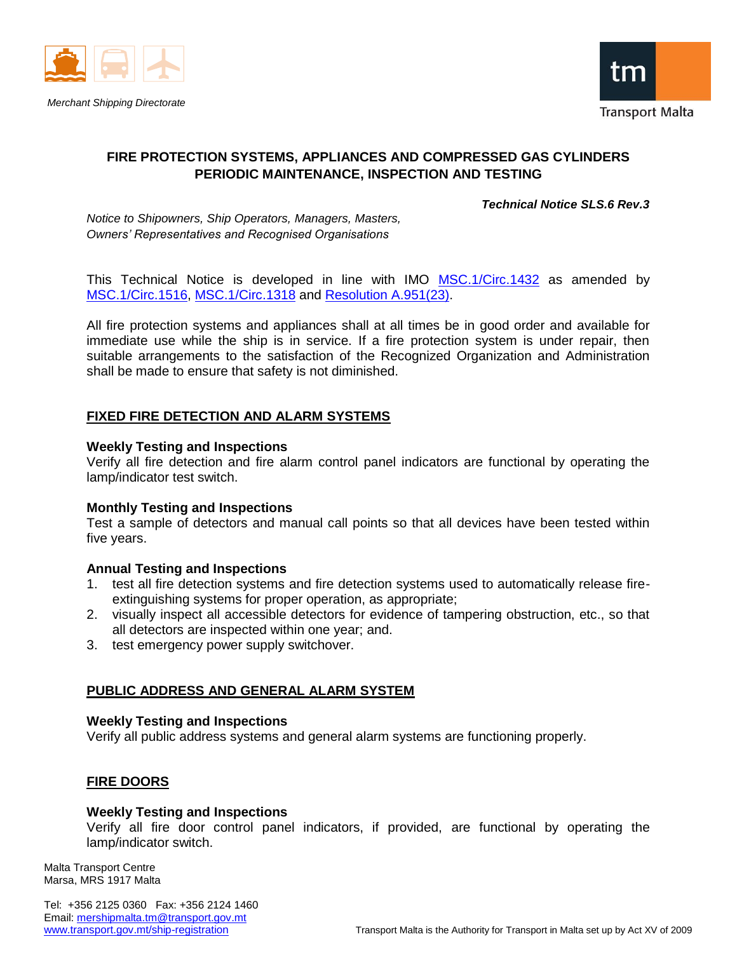



# **FIRE PROTECTION SYSTEMS, APPLIANCES AND COMPRESSED GAS CYLINDERS PERIODIC MAINTENANCE, INSPECTION AND TESTING**

#### *Technical Notice SLS.6 Rev.3*

*Notice to Shipowners, Ship Operators, Managers, Masters, Owners' Representatives and Recognised Organisations*

This Technical Notice is developed in line with IMO [MSC.1/Circ.1432](http://www.transport.gov.mt/admin/uploads/media-library/files/MSC.1-Circ.1432%20-%20Revised%20Guidelines%20For%20The%20Maintenance%20And%20Inspection%20Of%20Fire%20Protection%20Systems%20And%20Appliances%20(Secretariat)%5B1%5D.pdf) as amended by [MSC.1/Circ.1516,](http://www.transport.gov.mt/admin/uploads/media-library/files/MSC.1-Circ.1516%20-%20Amending%20MSC.1-Circ.1432.pdf) [MSC.1/Circ.1318](http://www.transport.gov.mt/admin/uploads/media-library/files/MSC.1-Circ.1318%20-%20Guidelines%20For%20The%20Maintenance%20%20Inspections%20Of%20Fixed%20Carbon%20Dioxide%20Fire-Extinguishing.(Secretariat).pdf) and [Resolution A.951\(23\).](http://www.transport.gov.mt/admin/uploads/media-library/files/A%2023-Res.951%20-%20Improved%20Guidelines%20For%20Marine%20Portable%20Fire%20Extinguishers%20(Secretariat).pdf)

All fire protection systems and appliances shall at all times be in good order and available for immediate use while the ship is in service. If a fire protection system is under repair, then suitable arrangements to the satisfaction of the Recognized Organization and Administration shall be made to ensure that safety is not diminished.

### **FIXED FIRE DETECTION AND ALARM SYSTEMS**

#### **Weekly Testing and Inspections**

Verify all fire detection and fire alarm control panel indicators are functional by operating the lamp/indicator test switch.

#### **Monthly Testing and Inspections**

Test a sample of detectors and manual call points so that all devices have been tested within five years.

#### **Annual Testing and Inspections**

- 1. test all fire detection systems and fire detection systems used to automatically release fireextinguishing systems for proper operation, as appropriate;
- 2. visually inspect all accessible detectors for evidence of tampering obstruction, etc., so that all detectors are inspected within one year; and.
- 3. test emergency power supply switchover.

### **PUBLIC ADDRESS AND GENERAL ALARM SYSTEM**

#### **Weekly Testing and Inspections**

Verify all public address systems and general alarm systems are functioning properly.

### **FIRE DOORS**

#### **Weekly Testing and Inspections**

Verify all fire door control panel indicators, if provided, are functional by operating the lamp/indicator switch.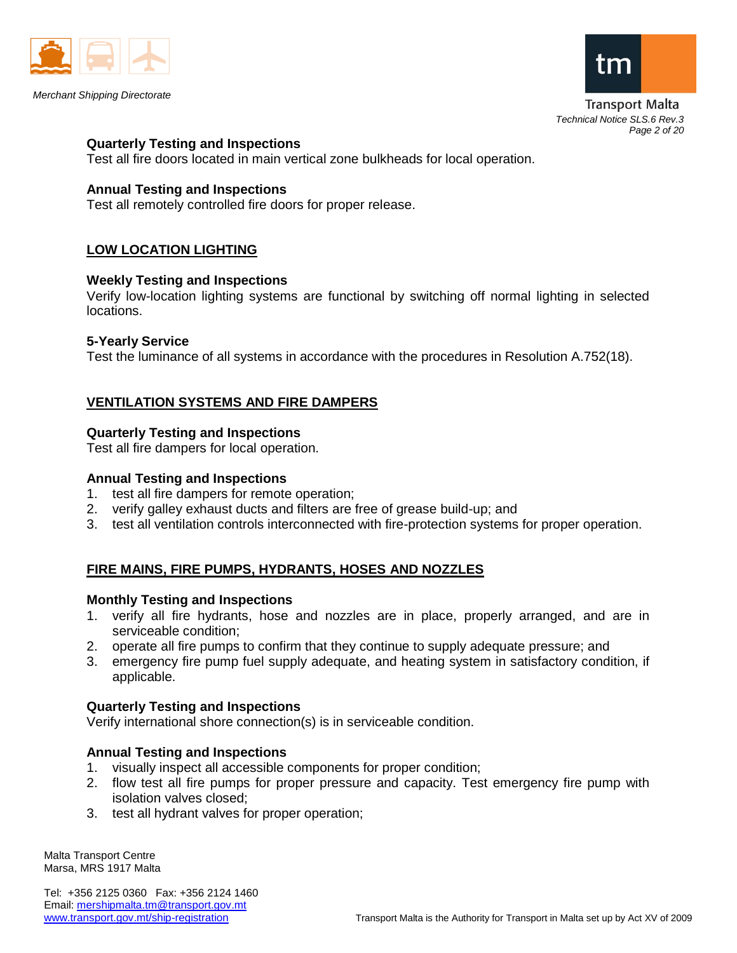



Transport Malta *Technical Notice SLS.6 Rev.3 Page 2 of 20*

#### **Quarterly Testing and Inspections**

Test all fire doors located in main vertical zone bulkheads for local operation.

#### **Annual Testing and Inspections**

Test all remotely controlled fire doors for proper release.

### **LOW LOCATION LIGHTING**

#### **Weekly Testing and Inspections**

Verify low-location lighting systems are functional by switching off normal lighting in selected locations.

#### **5-Yearly Service**

Test the luminance of all systems in accordance with the procedures in Resolution A.752(18).

## **VENTILATION SYSTEMS AND FIRE DAMPERS**

#### **Quarterly Testing and Inspections**

Test all fire dampers for local operation.

#### **Annual Testing and Inspections**

- 1. test all fire dampers for remote operation;
- 2. verify galley exhaust ducts and filters are free of grease build-up; and
- 3. test all ventilation controls interconnected with fire-protection systems for proper operation.

## **FIRE MAINS, FIRE PUMPS, HYDRANTS, HOSES AND NOZZLES**

#### **Monthly Testing and Inspections**

- 1. verify all fire hydrants, hose and nozzles are in place, properly arranged, and are in serviceable condition;
- 2. operate all fire pumps to confirm that they continue to supply adequate pressure; and
- 3. emergency fire pump fuel supply adequate, and heating system in satisfactory condition, if applicable.

#### **Quarterly Testing and Inspections**

Verify international shore connection(s) is in serviceable condition.

### **Annual Testing and Inspections**

- 1. visually inspect all accessible components for proper condition;
- 2. flow test all fire pumps for proper pressure and capacity. Test emergency fire pump with isolation valves closed;
- 3. test all hydrant valves for proper operation;

Malta Transport Centre Marsa, MRS 1917 Malta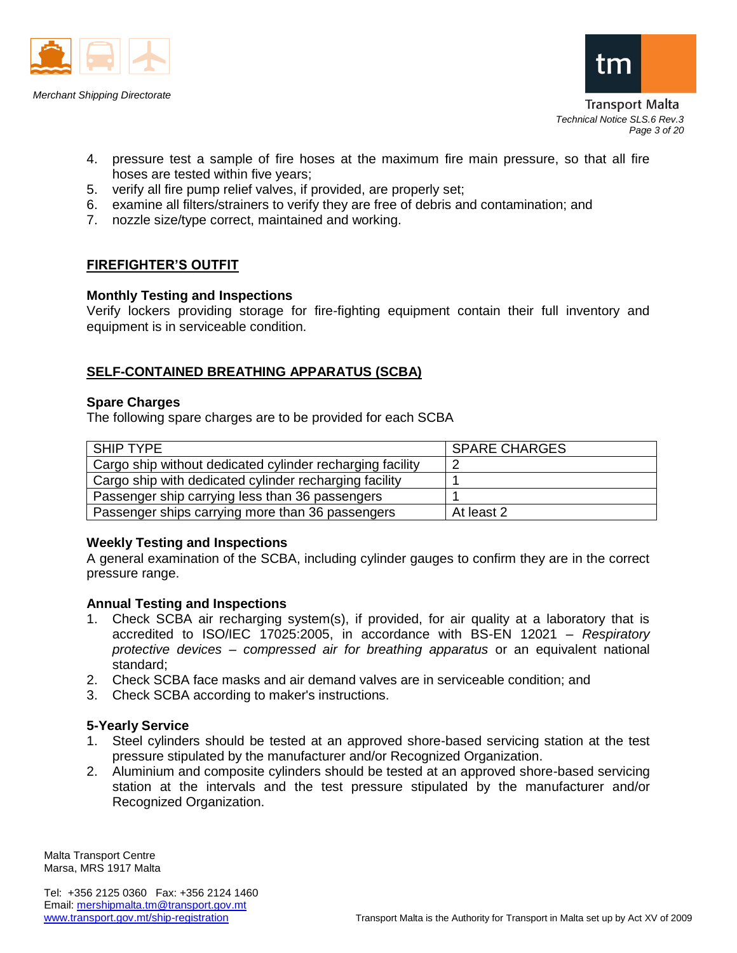



Transport Malta *Technical Notice SLS.6 Rev.3 Page 3 of 20*

- 4. pressure test a sample of fire hoses at the maximum fire main pressure, so that all fire hoses are tested within five years;
- 5. verify all fire pump relief valves, if provided, are properly set;
- 6. examine all filters/strainers to verify they are free of debris and contamination; and
- 7. nozzle size/type correct, maintained and working.

## **FIREFIGHTER'S OUTFIT**

### **Monthly Testing and Inspections**

Verify lockers providing storage for fire-fighting equipment contain their full inventory and equipment is in serviceable condition.

### **SELF-CONTAINED BREATHING APPARATUS (SCBA)**

#### **Spare Charges**

The following spare charges are to be provided for each SCBA

| SHIP TYPE                                                 | <b>SPARE CHARGES</b> |
|-----------------------------------------------------------|----------------------|
| Cargo ship without dedicated cylinder recharging facility |                      |
| Cargo ship with dedicated cylinder recharging facility    |                      |
| Passenger ship carrying less than 36 passengers           |                      |
| Passenger ships carrying more than 36 passengers          | At least 2           |

### **Weekly Testing and Inspections**

A general examination of the SCBA, including cylinder gauges to confirm they are in the correct pressure range.

### **Annual Testing and Inspections**

- 1. Check SCBA air recharging system(s), if provided, for air quality at a laboratory that is accredited to ISO/IEC 17025:2005, in accordance with BS-EN 12021 – *Respiratory protective devices – compressed air for breathing apparatus* or an equivalent national standard;
- 2. Check SCBA face masks and air demand valves are in serviceable condition; and
- 3. Check SCBA according to maker's instructions.

### **5-Yearly Service**

- 1. Steel cylinders should be tested at an approved shore-based servicing station at the test pressure stipulated by the manufacturer and/or Recognized Organization.
- 2. Aluminium and composite cylinders should be tested at an approved shore-based servicing station at the intervals and the test pressure stipulated by the manufacturer and/or Recognized Organization.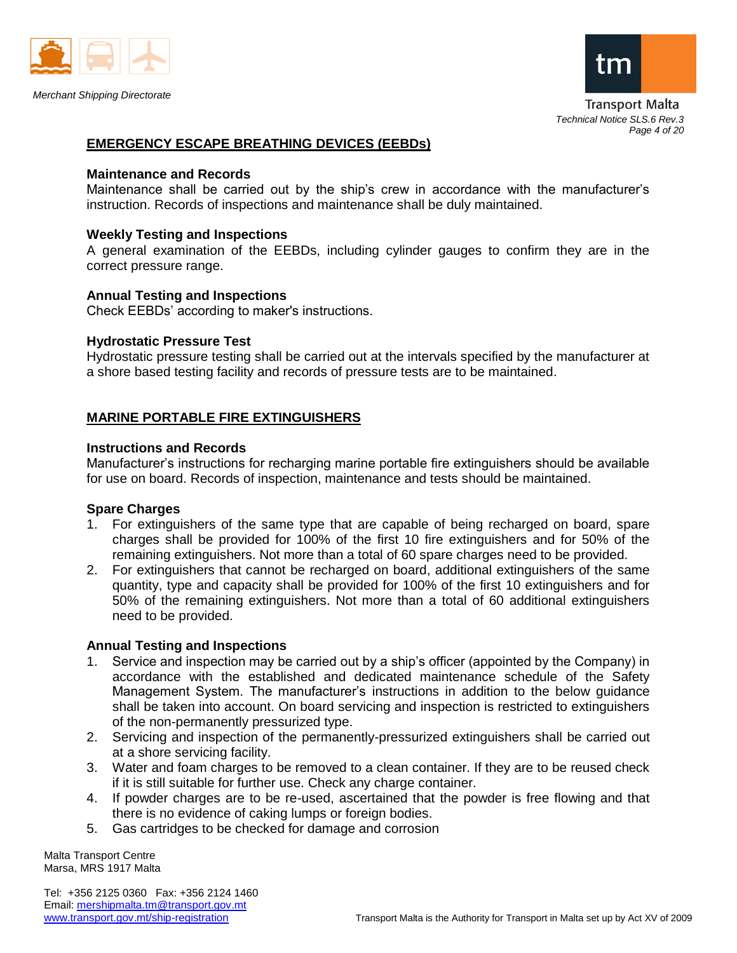



Transport Malta *Technical Notice SLS.6 Rev.3 Page 4 of 20*

### **EMERGENCY ESCAPE BREATHING DEVICES (EEBDs)**

#### **Maintenance and Records**

Maintenance shall be carried out by the ship's crew in accordance with the manufacturer's instruction. Records of inspections and maintenance shall be duly maintained.

#### **Weekly Testing and Inspections**

A general examination of the EEBDs, including cylinder gauges to confirm they are in the correct pressure range.

#### **Annual Testing and Inspections**

Check EEBDs' according to maker's instructions.

#### **Hydrostatic Pressure Test**

Hydrostatic pressure testing shall be carried out at the intervals specified by the manufacturer at a shore based testing facility and records of pressure tests are to be maintained.

### **MARINE PORTABLE FIRE EXTINGUISHERS**

#### **Instructions and Records**

Manufacturer's instructions for recharging marine portable fire extinguishers should be available for use on board. Records of inspection, maintenance and tests should be maintained.

#### **Spare Charges**

- 1. For extinguishers of the same type that are capable of being recharged on board, spare charges shall be provided for 100% of the first 10 fire extinguishers and for 50% of the remaining extinguishers. Not more than a total of 60 spare charges need to be provided.
- 2. For extinguishers that cannot be recharged on board, additional extinguishers of the same quantity, type and capacity shall be provided for 100% of the first 10 extinguishers and for 50% of the remaining extinguishers. Not more than a total of 60 additional extinguishers need to be provided.

### **Annual Testing and Inspections**

- 1. Service and inspection may be carried out by a ship's officer (appointed by the Company) in accordance with the established and dedicated maintenance schedule of the Safety Management System. The manufacturer's instructions in addition to the below guidance shall be taken into account. On board servicing and inspection is restricted to extinguishers of the non-permanently pressurized type.
- 2. Servicing and inspection of the permanently-pressurized extinguishers shall be carried out at a shore servicing facility.
- 3. Water and foam charges to be removed to a clean container. If they are to be reused check if it is still suitable for further use. Check any charge container.
- 4. If powder charges are to be re-used, ascertained that the powder is free flowing and that there is no evidence of caking lumps or foreign bodies.
- 5. Gas cartridges to be checked for damage and corrosion

Malta Transport Centre Marsa, MRS 1917 Malta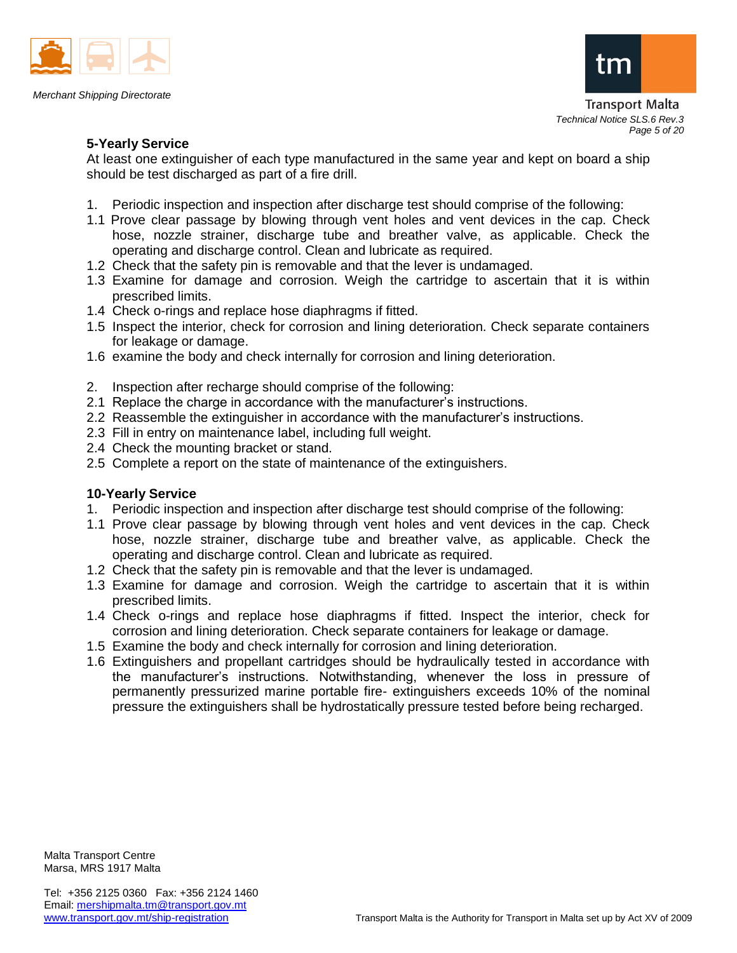



Transport Malta *Technical Notice SLS.6 Rev.3 Page 5 of 20*

## **5-Yearly Service**

At least one extinguisher of each type manufactured in the same year and kept on board a ship should be test discharged as part of a fire drill.

- 1. Periodic inspection and inspection after discharge test should comprise of the following:
- 1.1 Prove clear passage by blowing through vent holes and vent devices in the cap. Check hose, nozzle strainer, discharge tube and breather valve, as applicable. Check the operating and discharge control. Clean and lubricate as required.
- 1.2 Check that the safety pin is removable and that the lever is undamaged.
- 1.3 Examine for damage and corrosion. Weigh the cartridge to ascertain that it is within prescribed limits.
- 1.4 Check o-rings and replace hose diaphragms if fitted.
- 1.5 Inspect the interior, check for corrosion and lining deterioration. Check separate containers for leakage or damage.
- 1.6 examine the body and check internally for corrosion and lining deterioration.
- 2. Inspection after recharge should comprise of the following:
- 2.1 Replace the charge in accordance with the manufacturer's instructions.
- 2.2 Reassemble the extinguisher in accordance with the manufacturer's instructions.
- 2.3 Fill in entry on maintenance label, including full weight.
- 2.4 Check the mounting bracket or stand.
- 2.5 Complete a report on the state of maintenance of the extinguishers.

### **10-Yearly Service**

- 1. Periodic inspection and inspection after discharge test should comprise of the following:
- 1.1 Prove clear passage by blowing through vent holes and vent devices in the cap. Check hose, nozzle strainer, discharge tube and breather valve, as applicable. Check the operating and discharge control. Clean and lubricate as required.
- 1.2 Check that the safety pin is removable and that the lever is undamaged.
- 1.3 Examine for damage and corrosion. Weigh the cartridge to ascertain that it is within prescribed limits.
- 1.4 Check o-rings and replace hose diaphragms if fitted. Inspect the interior, check for corrosion and lining deterioration. Check separate containers for leakage or damage.
- 1.5 Examine the body and check internally for corrosion and lining deterioration.
- 1.6 Extinguishers and propellant cartridges should be hydraulically tested in accordance with the manufacturer's instructions. Notwithstanding, whenever the loss in pressure of permanently pressurized marine portable fire- extinguishers exceeds 10% of the nominal pressure the extinguishers shall be hydrostatically pressure tested before being recharged.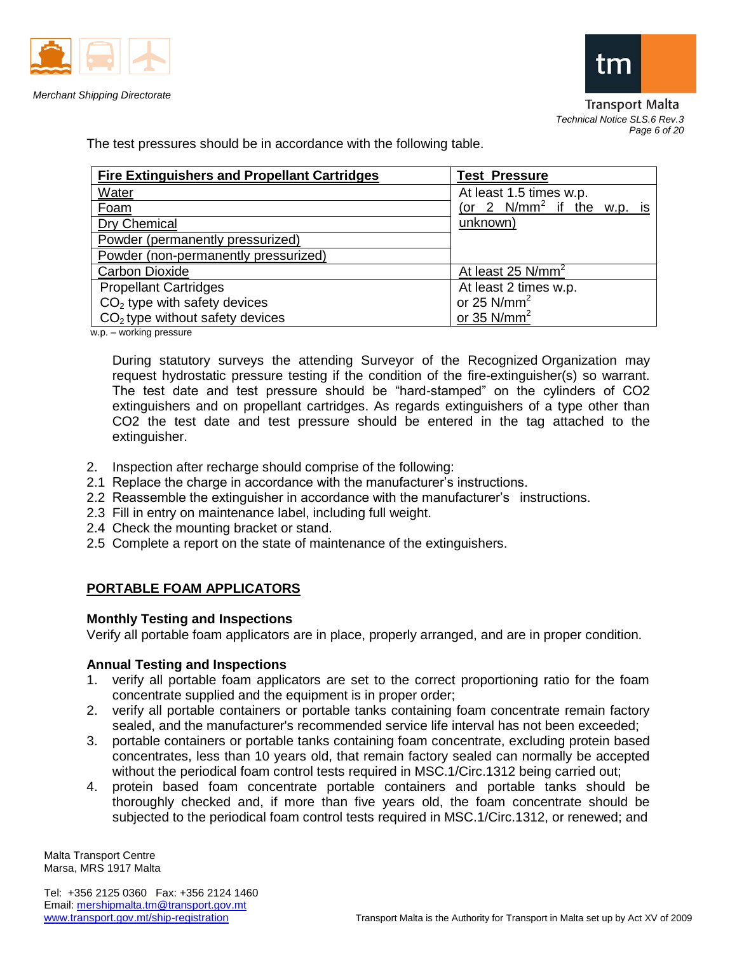





Transport Malta *Technical Notice SLS.6 Rev.3 Page 6 of 20*

The test pressures should be in accordance with the following table.

| <b>Fire Extinguishers and Propellant Cartridges</b> | <b>Test Pressure</b>          |
|-----------------------------------------------------|-------------------------------|
| Water                                               | At least 1.5 times w.p.       |
| Foam                                                | (or 2 $N/mm^2$ if the w.p. is |
| <b>Dry Chemical</b>                                 | unknown)                      |
| Powder (permanently pressurized)                    |                               |
| Powder (non-permanently pressurized)                |                               |
| <b>Carbon Dioxide</b>                               | At least 25 N/mm <sup>2</sup> |
| <b>Propellant Cartridges</b>                        | At least 2 times w.p.         |
| $CO2$ type with safety devices                      | or 25 $N/mm^2$                |
| $CO2$ type without safety devices                   | or 35 $N/mm2$                 |

w.p. – working pressure

During statutory surveys the attending Surveyor of the Recognized Organization may request hydrostatic pressure testing if the condition of the fire-extinguisher(s) so warrant. The test date and test pressure should be "hard-stamped" on the cylinders of CO2 extinguishers and on propellant cartridges. As regards extinguishers of a type other than CO2 the test date and test pressure should be entered in the tag attached to the extinguisher.

- 2. Inspection after recharge should comprise of the following:
- 2.1 Replace the charge in accordance with the manufacturer's instructions.
- 2.2 Reassemble the extinguisher in accordance with the manufacturer's instructions.
- 2.3 Fill in entry on maintenance label, including full weight.
- 2.4 Check the mounting bracket or stand.
- 2.5 Complete a report on the state of maintenance of the extinguishers.

## **PORTABLE FOAM APPLICATORS**

### **Monthly Testing and Inspections**

Verify all portable foam applicators are in place, properly arranged, and are in proper condition.

### **Annual Testing and Inspections**

- 1. verify all portable foam applicators are set to the correct proportioning ratio for the foam concentrate supplied and the equipment is in proper order;
- 2. verify all portable containers or portable tanks containing foam concentrate remain factory sealed, and the manufacturer's recommended service life interval has not been exceeded;
- 3. portable containers or portable tanks containing foam concentrate, excluding protein based concentrates, less than 10 years old, that remain factory sealed can normally be accepted without the periodical foam control tests required in MSC.1/Circ.1312 being carried out;
- 4. protein based foam concentrate portable containers and portable tanks should be thoroughly checked and, if more than five years old, the foam concentrate should be subjected to the periodical foam control tests required in MSC.1/Circ.1312, or renewed; and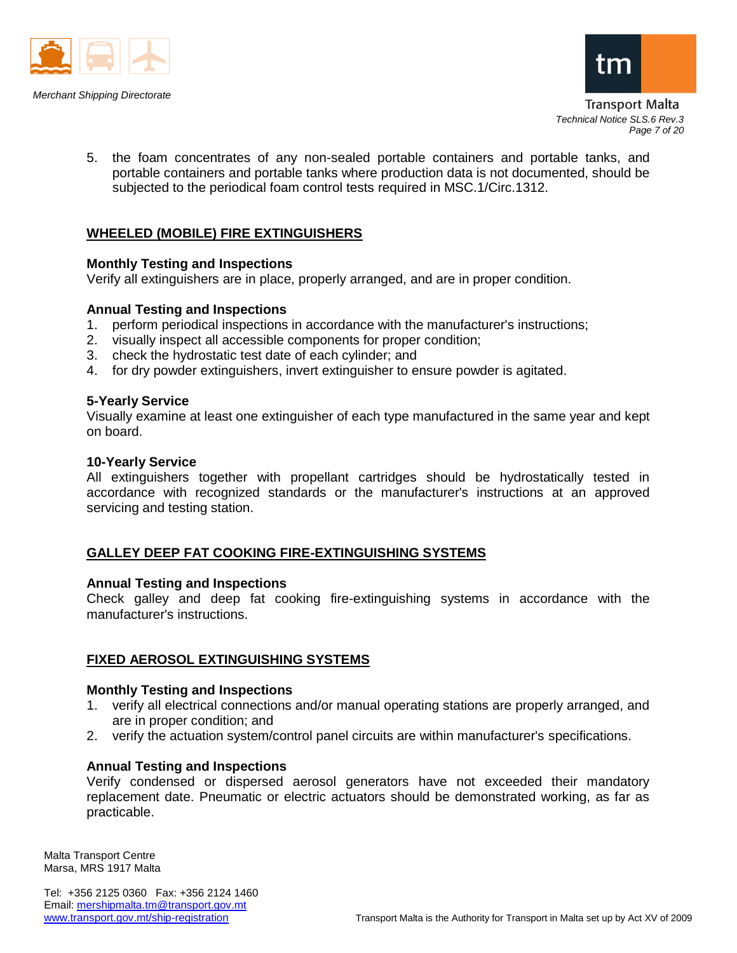



Transport Malta *Technical Notice SLS.6 Rev.3 Page 7 of 20*

5. the foam concentrates of any non-sealed portable containers and portable tanks, and portable containers and portable tanks where production data is not documented, should be subjected to the periodical foam control tests required in MSC.1/Circ.1312.

## **WHEELED (MOBILE) FIRE EXTINGUISHERS**

### **Monthly Testing and Inspections**

Verify all extinguishers are in place, properly arranged, and are in proper condition.

#### **Annual Testing and Inspections**

- 1. perform periodical inspections in accordance with the manufacturer's instructions;
- 2. visually inspect all accessible components for proper condition;
- 3. check the hydrostatic test date of each cylinder; and
- 4. for dry powder extinguishers, invert extinguisher to ensure powder is agitated.

#### **5-Yearly Service**

Visually examine at least one extinguisher of each type manufactured in the same year and kept on board.

#### **10-Yearly Service**

All extinguishers together with propellant cartridges should be hydrostatically tested in accordance with recognized standards or the manufacturer's instructions at an approved servicing and testing station.

### **GALLEY DEEP FAT COOKING FIRE-EXTINGUISHING SYSTEMS**

#### **Annual Testing and Inspections**

Check galley and deep fat cooking fire-extinguishing systems in accordance with the manufacturer's instructions.

### **FIXED AEROSOL EXTINGUISHING SYSTEMS**

#### **Monthly Testing and Inspections**

- 1. verify all electrical connections and/or manual operating stations are properly arranged, and are in proper condition; and
- 2. verify the actuation system/control panel circuits are within manufacturer's specifications.

### **Annual Testing and Inspections**

Verify condensed or dispersed aerosol generators have not exceeded their mandatory replacement date. Pneumatic or electric actuators should be demonstrated working, as far as practicable.

Malta Transport Centre Marsa, MRS 1917 Malta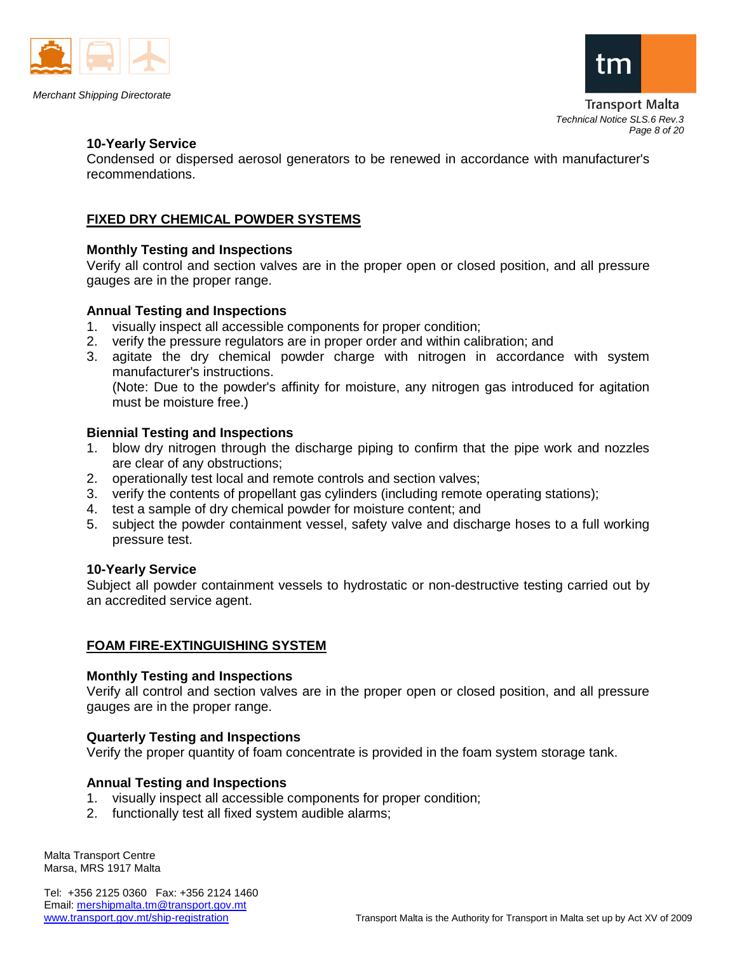



Transport Malta *Technical Notice SLS.6 Rev.3 Page 8 of 20*

#### **10-Yearly Service**

Condensed or dispersed aerosol generators to be renewed in accordance with manufacturer's recommendations.

### **FIXED DRY CHEMICAL POWDER SYSTEMS**

### **Monthly Testing and Inspections**

Verify all control and section valves are in the proper open or closed position, and all pressure gauges are in the proper range.

### **Annual Testing and Inspections**

- 1. visually inspect all accessible components for proper condition;
- 2. verify the pressure regulators are in proper order and within calibration; and
- 3. agitate the dry chemical powder charge with nitrogen in accordance with system manufacturer's instructions.

(Note: Due to the powder's affinity for moisture, any nitrogen gas introduced for agitation must be moisture free.)

### **Biennial Testing and Inspections**

- 1. blow dry nitrogen through the discharge piping to confirm that the pipe work and nozzles are clear of any obstructions;
- 2. operationally test local and remote controls and section valves;
- 3. verify the contents of propellant gas cylinders (including remote operating stations);
- 4. test a sample of dry chemical powder for moisture content; and
- 5. subject the powder containment vessel, safety valve and discharge hoses to a full working pressure test.

### **10-Yearly Service**

Subject all powder containment vessels to hydrostatic or non-destructive testing carried out by an accredited service agent.

### **FOAM FIRE-EXTINGUISHING SYSTEM**

#### **Monthly Testing and Inspections**

Verify all control and section valves are in the proper open or closed position, and all pressure gauges are in the proper range.

### **Quarterly Testing and Inspections**

Verify the proper quantity of foam concentrate is provided in the foam system storage tank.

### **Annual Testing and Inspections**

- 1. visually inspect all accessible components for proper condition;
- 2. functionally test all fixed system audible alarms;

Malta Transport Centre Marsa, MRS 1917 Malta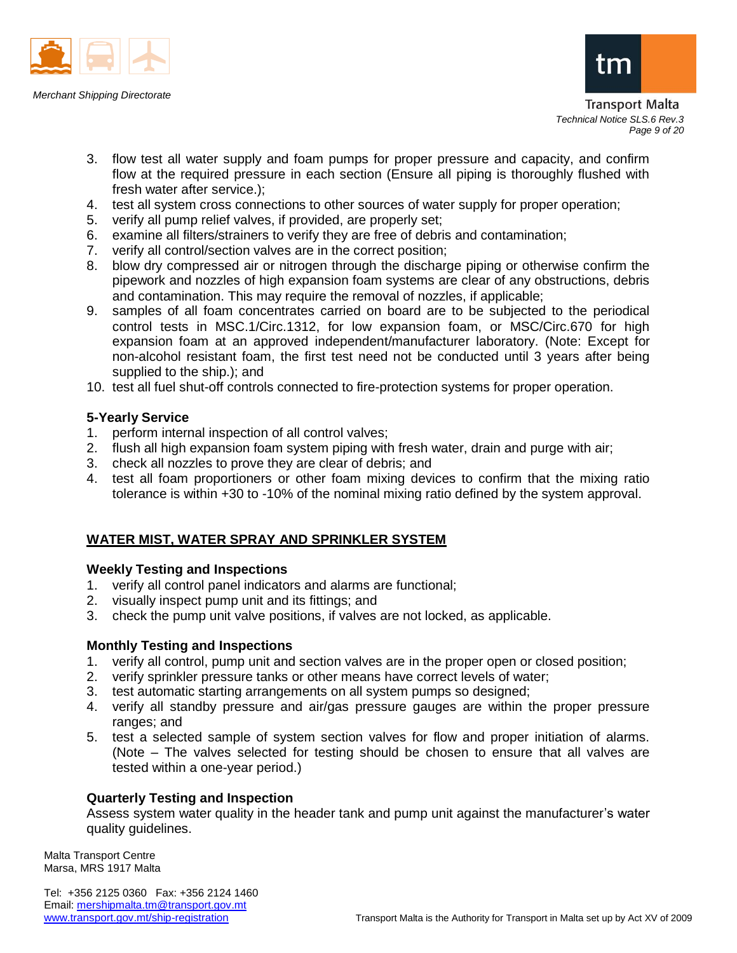



Transport Malta *Technical Notice SLS.6 Rev.3 Page 9 of 20*

- 3. flow test all water supply and foam pumps for proper pressure and capacity, and confirm flow at the required pressure in each section (Ensure all piping is thoroughly flushed with fresh water after service.);
- 4. test all system cross connections to other sources of water supply for proper operation;
- 5. verify all pump relief valves, if provided, are properly set;
- 6. examine all filters/strainers to verify they are free of debris and contamination;
- 7. verify all control/section valves are in the correct position;
- 8. blow dry compressed air or nitrogen through the discharge piping or otherwise confirm the pipework and nozzles of high expansion foam systems are clear of any obstructions, debris and contamination. This may require the removal of nozzles, if applicable;
- 9. samples of all foam concentrates carried on board are to be subjected to the periodical control tests in MSC.1/Circ.1312, for low expansion foam, or MSC/Circ.670 for high expansion foam at an approved independent/manufacturer laboratory. (Note: Except for non-alcohol resistant foam, the first test need not be conducted until 3 years after being supplied to the ship.); and
- 10. test all fuel shut-off controls connected to fire-protection systems for proper operation.

### **5-Yearly Service**

- 1. perform internal inspection of all control valves;
- 2. flush all high expansion foam system piping with fresh water, drain and purge with air;
- 3. check all nozzles to prove they are clear of debris; and
- 4. test all foam proportioners or other foam mixing devices to confirm that the mixing ratio tolerance is within +30 to -10% of the nominal mixing ratio defined by the system approval.

## **WATER MIST, WATER SPRAY AND SPRINKLER SYSTEM**

### **Weekly Testing and Inspections**

- 1. verify all control panel indicators and alarms are functional;
- 2. visually inspect pump unit and its fittings; and
- 3. check the pump unit valve positions, if valves are not locked, as applicable.

### **Monthly Testing and Inspections**

- 1. verify all control, pump unit and section valves are in the proper open or closed position;
- 2. verify sprinkler pressure tanks or other means have correct levels of water;
- 3. test automatic starting arrangements on all system pumps so designed;
- 4. verify all standby pressure and air/gas pressure gauges are within the proper pressure ranges; and
- 5. test a selected sample of system section valves for flow and proper initiation of alarms. (Note – The valves selected for testing should be chosen to ensure that all valves are tested within a one-year period.)

### **Quarterly Testing and Inspection**

Assess system water quality in the header tank and pump unit against the manufacturer's water quality guidelines.

Malta Transport Centre Marsa, MRS 1917 Malta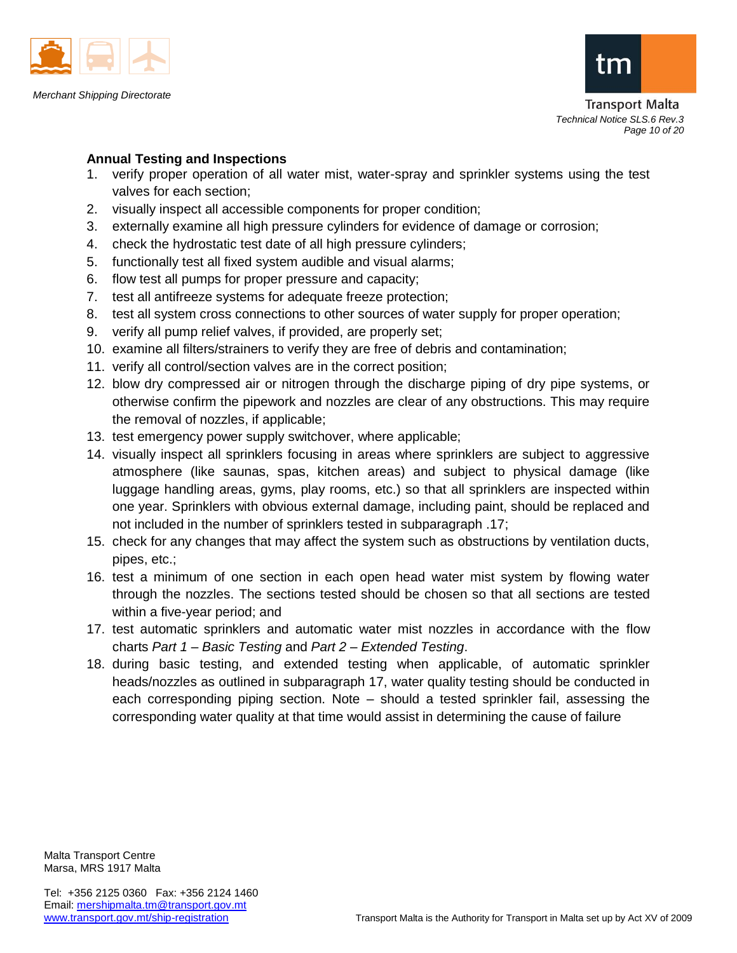



Transport Malta *Technical Notice SLS.6 Rev.3 Page 10 of 20*

## **Annual Testing and Inspections**

- 1. verify proper operation of all water mist, water-spray and sprinkler systems using the test valves for each section;
- 2. visually inspect all accessible components for proper condition;
- 3. externally examine all high pressure cylinders for evidence of damage or corrosion;
- 4. check the hydrostatic test date of all high pressure cylinders;
- 5. functionally test all fixed system audible and visual alarms;
- 6. flow test all pumps for proper pressure and capacity;
- 7. test all antifreeze systems for adequate freeze protection;
- 8. test all system cross connections to other sources of water supply for proper operation;
- 9. verify all pump relief valves, if provided, are properly set;
- 10. examine all filters/strainers to verify they are free of debris and contamination;
- 11. verify all control/section valves are in the correct position;
- 12. blow dry compressed air or nitrogen through the discharge piping of dry pipe systems, or otherwise confirm the pipework and nozzles are clear of any obstructions. This may require the removal of nozzles, if applicable;
- 13. test emergency power supply switchover, where applicable;
- 14. visually inspect all sprinklers focusing in areas where sprinklers are subject to aggressive atmosphere (like saunas, spas, kitchen areas) and subject to physical damage (like luggage handling areas, gyms, play rooms, etc.) so that all sprinklers are inspected within one year. Sprinklers with obvious external damage, including paint, should be replaced and not included in the number of sprinklers tested in subparagraph .17;
- 15. check for any changes that may affect the system such as obstructions by ventilation ducts, pipes, etc.;
- 16. test a minimum of one section in each open head water mist system by flowing water through the nozzles. The sections tested should be chosen so that all sections are tested within a five-year period; and
- 17. test automatic sprinklers and automatic water mist nozzles in accordance with the flow charts *Part 1 – Basic Testing* and *Part 2 – Extended Testing*.
- 18. during basic testing, and extended testing when applicable, of automatic sprinkler heads/nozzles as outlined in subparagraph 17, water quality testing should be conducted in each corresponding piping section. Note – should a tested sprinkler fail, assessing the corresponding water quality at that time would assist in determining the cause of failure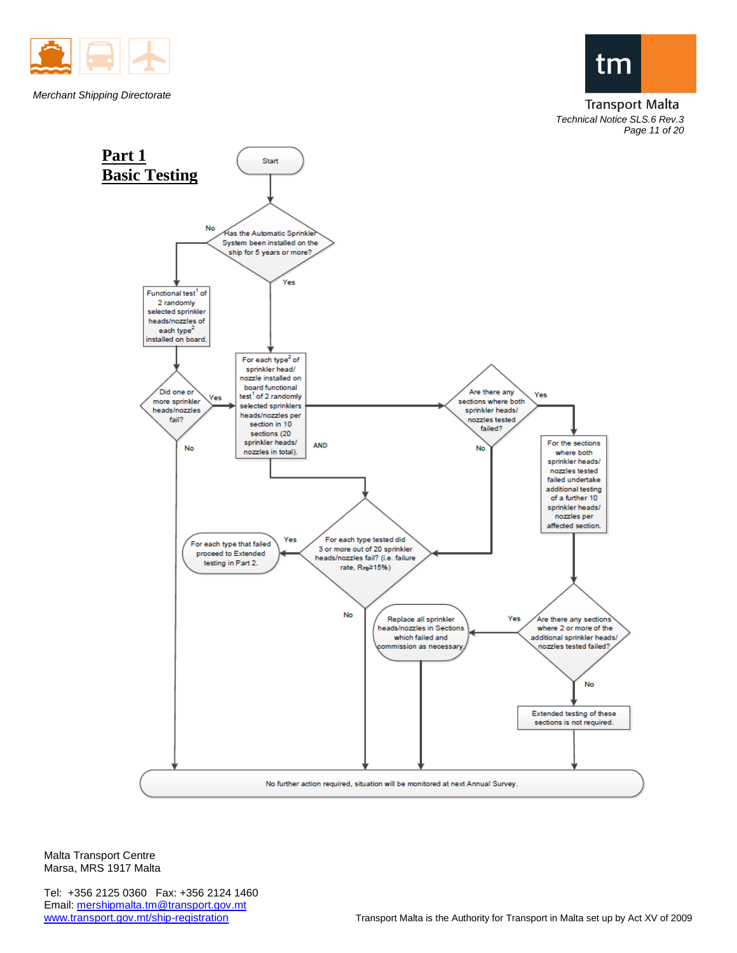

*Merchant Shipping Directorate*



**Transport Malta** *Technical Notice SLS.6 Rev.3 Page 11 of 20*



Malta Transport Centre Marsa, MRS 1917 Malta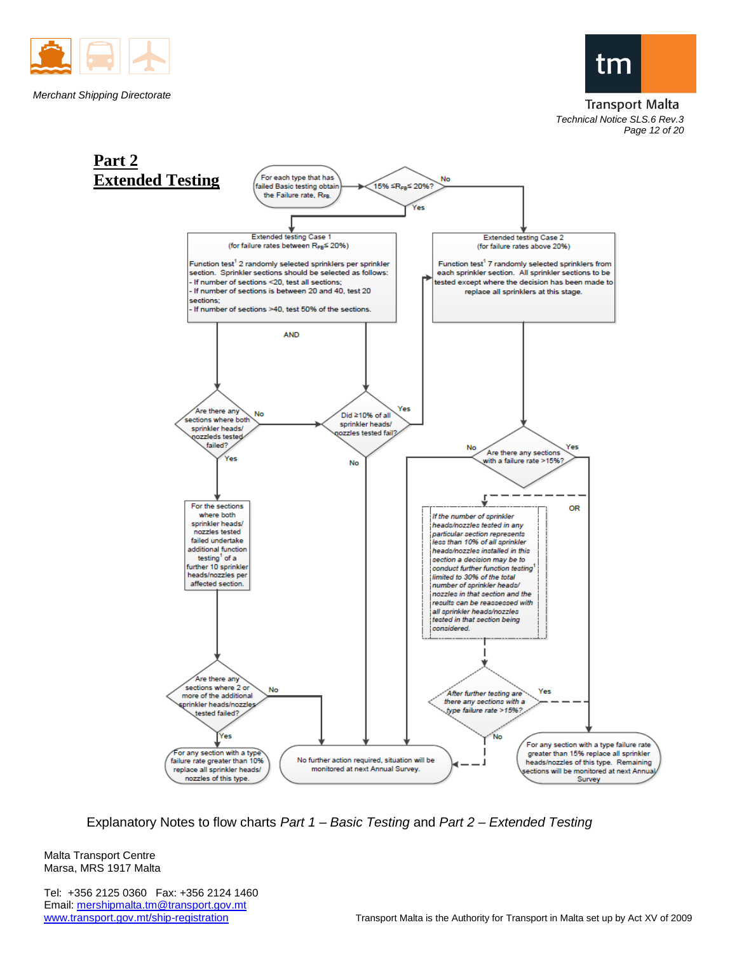



#### **Transport Malta** *Technical Notice SLS.6 Rev.3 Page 12 of 20*



Explanatory Notes to flow charts *Part 1 – Basic Testing* and *Part 2 – Extended Testing*

Malta Transport Centre Marsa, MRS 1917 Malta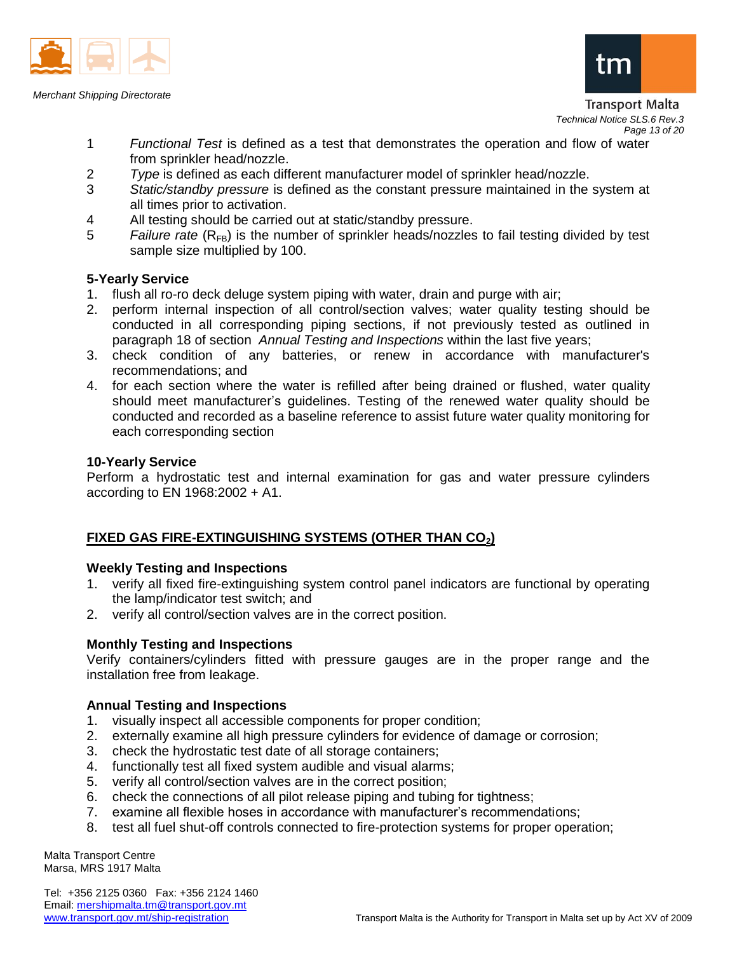

*Merchant Shipping Directorate*



Transport Malta *Technical Notice SLS.6 Rev.3 Page 13 of 20*

- 1 *Functional Test* is defined as a test that demonstrates the operation and flow of water from sprinkler head/nozzle.
- 2 *Type* is defined as each different manufacturer model of sprinkler head/nozzle.
- 3 *Static/standby pressure* is defined as the constant pressure maintained in the system at all times prior to activation.
- 4 All testing should be carried out at static/standby pressure.
- 5 *Failure rate* (R<sub>FB</sub>) is the number of sprinkler heads/nozzles to fail testing divided by test sample size multiplied by 100.

### **5-Yearly Service**

- 1. flush all ro-ro deck deluge system piping with water, drain and purge with air;
- 2. perform internal inspection of all control/section valves; water quality testing should be conducted in all corresponding piping sections, if not previously tested as outlined in paragraph 18 of section *Annual Testing and Inspections* within the last five years;
- 3. check condition of any batteries, or renew in accordance with manufacturer's recommendations; and
- 4. for each section where the water is refilled after being drained or flushed, water quality should meet manufacturer's guidelines. Testing of the renewed water quality should be conducted and recorded as a baseline reference to assist future water quality monitoring for each corresponding section

### **10-Yearly Service**

Perform a hydrostatic test and internal examination for gas and water pressure cylinders according to EN 1968:2002 + A1.

## **FIXED GAS FIRE-EXTINGUISHING SYSTEMS (OTHER THAN CO2)**

### **Weekly Testing and Inspections**

- 1. verify all fixed fire-extinguishing system control panel indicators are functional by operating the lamp/indicator test switch; and
- 2. verify all control/section valves are in the correct position.

## **Monthly Testing and Inspections**

Verify containers/cylinders fitted with pressure gauges are in the proper range and the installation free from leakage.

### **Annual Testing and Inspections**

- 1. visually inspect all accessible components for proper condition;
- 2. externally examine all high pressure cylinders for evidence of damage or corrosion;
- 3. check the hydrostatic test date of all storage containers;
- 4. functionally test all fixed system audible and visual alarms;
- 5. verify all control/section valves are in the correct position;
- 6. check the connections of all pilot release piping and tubing for tightness;
- 7. examine all flexible hoses in accordance with manufacturer's recommendations;
- 8. test all fuel shut-off controls connected to fire-protection systems for proper operation;

Malta Transport Centre Marsa, MRS 1917 Malta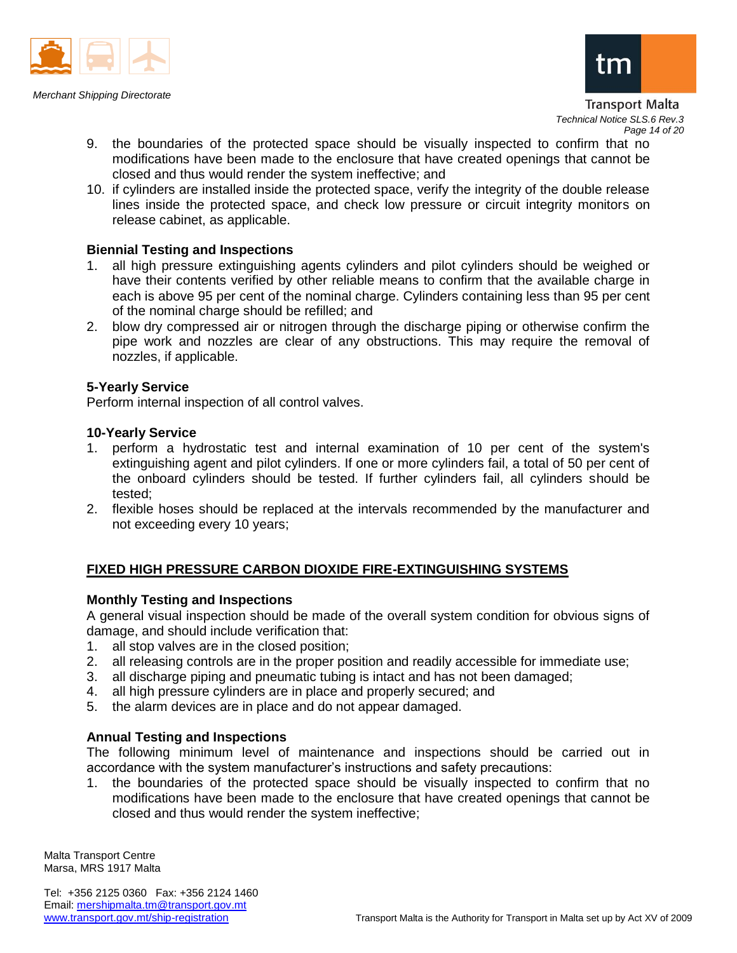



Transport Malta *Technical Notice SLS.6 Rev.3 Page 14 of 20*

- 9. the boundaries of the protected space should be visually inspected to confirm that no modifications have been made to the enclosure that have created openings that cannot be closed and thus would render the system ineffective; and
- 10. if cylinders are installed inside the protected space, verify the integrity of the double release lines inside the protected space, and check low pressure or circuit integrity monitors on release cabinet, as applicable.

### **Biennial Testing and Inspections**

- 1. all high pressure extinguishing agents cylinders and pilot cylinders should be weighed or have their contents verified by other reliable means to confirm that the available charge in each is above 95 per cent of the nominal charge. Cylinders containing less than 95 per cent of the nominal charge should be refilled; and
- 2. blow dry compressed air or nitrogen through the discharge piping or otherwise confirm the pipe work and nozzles are clear of any obstructions. This may require the removal of nozzles, if applicable.

### **5-Yearly Service**

Perform internal inspection of all control valves.

### **10-Yearly Service**

- 1. perform a hydrostatic test and internal examination of 10 per cent of the system's extinguishing agent and pilot cylinders. If one or more cylinders fail, a total of 50 per cent of the onboard cylinders should be tested. If further cylinders fail, all cylinders should be tested;
- 2. flexible hoses should be replaced at the intervals recommended by the manufacturer and not exceeding every 10 years;

## **FIXED HIGH PRESSURE CARBON DIOXIDE FIRE-EXTINGUISHING SYSTEMS**

### **Monthly Testing and Inspections**

A general visual inspection should be made of the overall system condition for obvious signs of damage, and should include verification that:

- 1. all stop valves are in the closed position;
- 2. all releasing controls are in the proper position and readily accessible for immediate use;
- 3. all discharge piping and pneumatic tubing is intact and has not been damaged;
- 4. all high pressure cylinders are in place and properly secured; and
- 5. the alarm devices are in place and do not appear damaged.

### **Annual Testing and Inspections**

The following minimum level of maintenance and inspections should be carried out in accordance with the system manufacturer's instructions and safety precautions:

1. the boundaries of the protected space should be visually inspected to confirm that no modifications have been made to the enclosure that have created openings that cannot be closed and thus would render the system ineffective;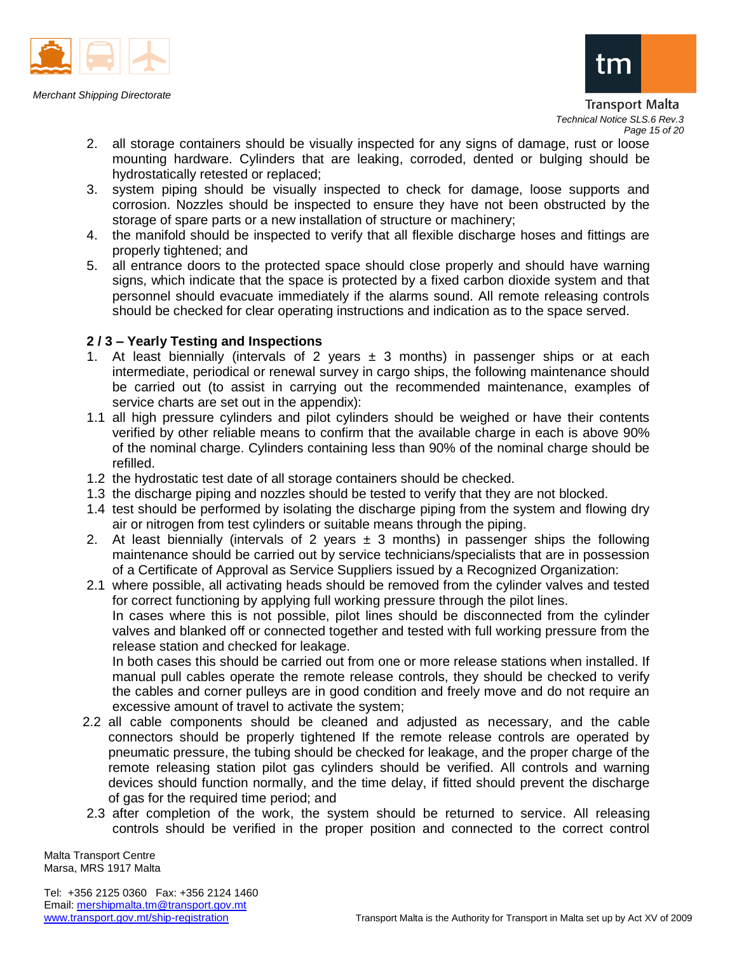

*Merchant Shipping Directorate*



#### Transport Malta *Technical Notice SLS.6 Rev.3 Page 15 of 20*

- 2. all storage containers should be visually inspected for any signs of damage, rust or loose mounting hardware. Cylinders that are leaking, corroded, dented or bulging should be hydrostatically retested or replaced;
- 3. system piping should be visually inspected to check for damage, loose supports and corrosion. Nozzles should be inspected to ensure they have not been obstructed by the storage of spare parts or a new installation of structure or machinery;
- 4. the manifold should be inspected to verify that all flexible discharge hoses and fittings are properly tightened; and
- 5. all entrance doors to the protected space should close properly and should have warning signs, which indicate that the space is protected by a fixed carbon dioxide system and that personnel should evacuate immediately if the alarms sound. All remote releasing controls should be checked for clear operating instructions and indication as to the space served.

## **2 / 3 – Yearly Testing and Inspections**

- 1. At least biennially (intervals of 2 years  $\pm$  3 months) in passenger ships or at each intermediate, periodical or renewal survey in cargo ships, the following maintenance should be carried out (to assist in carrying out the recommended maintenance, examples of service charts are set out in the appendix):
- 1.1 all high pressure cylinders and pilot cylinders should be weighed or have their contents verified by other reliable means to confirm that the available charge in each is above 90% of the nominal charge. Cylinders containing less than 90% of the nominal charge should be refilled.
- 1.2 the hydrostatic test date of all storage containers should be checked.
- 1.3 the discharge piping and nozzles should be tested to verify that they are not blocked.
- 1.4 test should be performed by isolating the discharge piping from the system and flowing dry air or nitrogen from test cylinders or suitable means through the piping.
- 2. At least biennially (intervals of 2 years  $\pm$  3 months) in passenger ships the following maintenance should be carried out by service technicians/specialists that are in possession of a Certificate of Approval as Service Suppliers issued by a Recognized Organization:
- 2.1 where possible, all activating heads should be removed from the cylinder valves and tested for correct functioning by applying full working pressure through the pilot lines. In cases where this is not possible, pilot lines should be disconnected from the cylinder valves and blanked off or connected together and tested with full working pressure from the

release station and checked for leakage. In both cases this should be carried out from one or more release stations when installed. If manual pull cables operate the remote release controls, they should be checked to verify the cables and corner pulleys are in good condition and freely move and do not require an excessive amount of travel to activate the system;

- 2.2 all cable components should be cleaned and adjusted as necessary, and the cable connectors should be properly tightened If the remote release controls are operated by pneumatic pressure, the tubing should be checked for leakage, and the proper charge of the remote releasing station pilot gas cylinders should be verified. All controls and warning devices should function normally, and the time delay, if fitted should prevent the discharge of gas for the required time period; and
- 2.3 after completion of the work, the system should be returned to service. All releasing controls should be verified in the proper position and connected to the correct control

Malta Transport Centre Marsa, MRS 1917 Malta

Tel: +356 2125 0360 Fax: +356 2124 1460 Email: mershipmalta.tm@transport.gov.mt<br>www.transport.gov.mt/ship-registration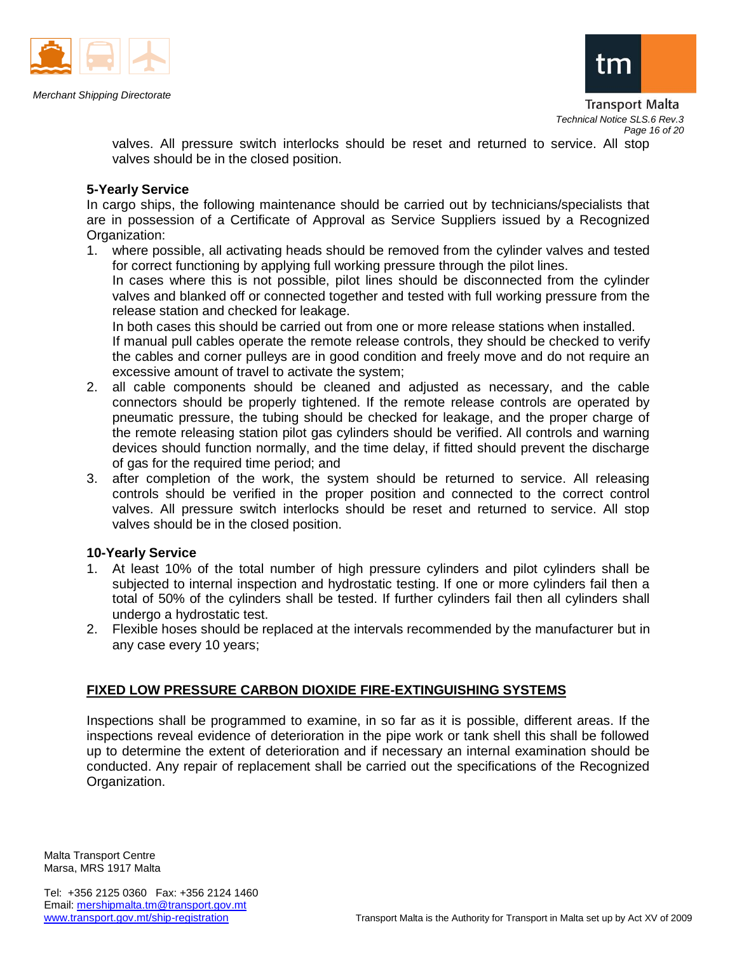

*Merchant Shipping Directorate*



valves. All pressure switch interlocks should be reset and returned to service. All stop valves should be in the closed position.

### **5-Yearly Service**

In cargo ships, the following maintenance should be carried out by technicians/specialists that are in possession of a Certificate of Approval as Service Suppliers issued by a Recognized Organization:

1. where possible, all activating heads should be removed from the cylinder valves and tested for correct functioning by applying full working pressure through the pilot lines. In cases where this is not possible, pilot lines should be disconnected from the cylinder valves and blanked off or connected together and tested with full working pressure from the release station and checked for leakage.

In both cases this should be carried out from one or more release stations when installed. If manual pull cables operate the remote release controls, they should be checked to verify the cables and corner pulleys are in good condition and freely move and do not require an excessive amount of travel to activate the system;

- 2. all cable components should be cleaned and adjusted as necessary, and the cable connectors should be properly tightened. If the remote release controls are operated by pneumatic pressure, the tubing should be checked for leakage, and the proper charge of the remote releasing station pilot gas cylinders should be verified. All controls and warning devices should function normally, and the time delay, if fitted should prevent the discharge of gas for the required time period; and
- 3. after completion of the work, the system should be returned to service. All releasing controls should be verified in the proper position and connected to the correct control valves. All pressure switch interlocks should be reset and returned to service. All stop valves should be in the closed position.

### **10-Yearly Service**

- 1. At least 10% of the total number of high pressure cylinders and pilot cylinders shall be subjected to internal inspection and hydrostatic testing. If one or more cylinders fail then a total of 50% of the cylinders shall be tested. If further cylinders fail then all cylinders shall undergo a hydrostatic test.
- 2. Flexible hoses should be replaced at the intervals recommended by the manufacturer but in any case every 10 years;

### **FIXED LOW PRESSURE CARBON DIOXIDE FIRE-EXTINGUISHING SYSTEMS**

Inspections shall be programmed to examine, in so far as it is possible, different areas. If the inspections reveal evidence of deterioration in the pipe work or tank shell this shall be followed up to determine the extent of deterioration and if necessary an internal examination should be conducted. Any repair of replacement shall be carried out the specifications of the Recognized Organization.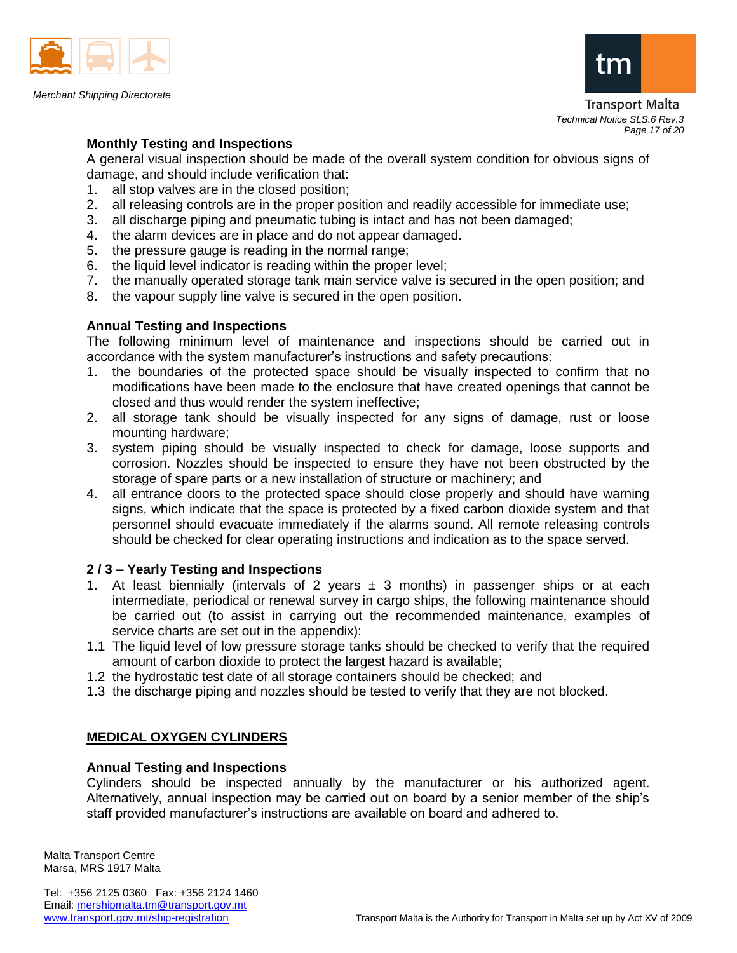

*Merchant Shipping Directorate*



Transport Malta *Technical Notice SLS.6 Rev.3 Page 17 of 20*

## **Monthly Testing and Inspections**

A general visual inspection should be made of the overall system condition for obvious signs of damage, and should include verification that:

- 1. all stop valves are in the closed position;
- 2. all releasing controls are in the proper position and readily accessible for immediate use;
- 3. all discharge piping and pneumatic tubing is intact and has not been damaged;
- 4. the alarm devices are in place and do not appear damaged.
- 5. the pressure gauge is reading in the normal range;
- 6. the liquid level indicator is reading within the proper level;
- 7. the manually operated storage tank main service valve is secured in the open position; and
- 8. the vapour supply line valve is secured in the open position.

### **Annual Testing and Inspections**

The following minimum level of maintenance and inspections should be carried out in accordance with the system manufacturer's instructions and safety precautions:

- 1. the boundaries of the protected space should be visually inspected to confirm that no modifications have been made to the enclosure that have created openings that cannot be closed and thus would render the system ineffective;
- 2. all storage tank should be visually inspected for any signs of damage, rust or loose mounting hardware;
- 3. system piping should be visually inspected to check for damage, loose supports and corrosion. Nozzles should be inspected to ensure they have not been obstructed by the storage of spare parts or a new installation of structure or machinery; and
- 4. all entrance doors to the protected space should close properly and should have warning signs, which indicate that the space is protected by a fixed carbon dioxide system and that personnel should evacuate immediately if the alarms sound. All remote releasing controls should be checked for clear operating instructions and indication as to the space served.

## **2 / 3 – Yearly Testing and Inspections**

- 1. At least biennially (intervals of 2 years  $\pm$  3 months) in passenger ships or at each intermediate, periodical or renewal survey in cargo ships, the following maintenance should be carried out (to assist in carrying out the recommended maintenance, examples of service charts are set out in the appendix):
- 1.1 The liquid level of low pressure storage tanks should be checked to verify that the required amount of carbon dioxide to protect the largest hazard is available;
- 1.2 the hydrostatic test date of all storage containers should be checked; and
- 1.3 the discharge piping and nozzles should be tested to verify that they are not blocked.

# **MEDICAL OXYGEN CYLINDERS**

### **Annual Testing and Inspections**

Cylinders should be inspected annually by the manufacturer or his authorized agent. Alternatively, annual inspection may be carried out on board by a senior member of the ship's staff provided manufacturer's instructions are available on board and adhered to.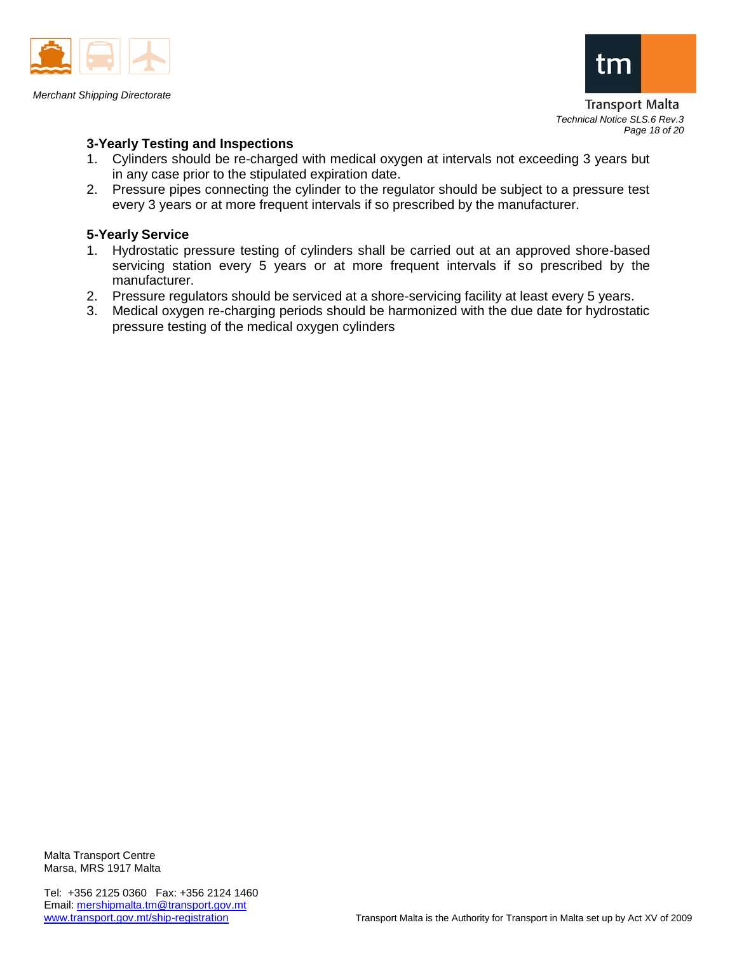

*Merchant Shipping Directorate*



**Transport Malta** *Technical Notice SLS.6 Rev.3 Page 18 of 20*

## **3-Yearly Testing and Inspections**

- 1. Cylinders should be re-charged with medical oxygen at intervals not exceeding 3 years but in any case prior to the stipulated expiration date.
- 2. Pressure pipes connecting the cylinder to the regulator should be subject to a pressure test every 3 years or at more frequent intervals if so prescribed by the manufacturer.

### **5-Yearly Service**

- 1. Hydrostatic pressure testing of cylinders shall be carried out at an approved shore-based servicing station every 5 years or at more frequent intervals if so prescribed by the manufacturer.
- 2. Pressure regulators should be serviced at a shore-servicing facility at least every 5 years.
- 3. Medical oxygen re-charging periods should be harmonized with the due date for hydrostatic pressure testing of the medical oxygen cylinders

Malta Transport Centre Marsa, MRS 1917 Malta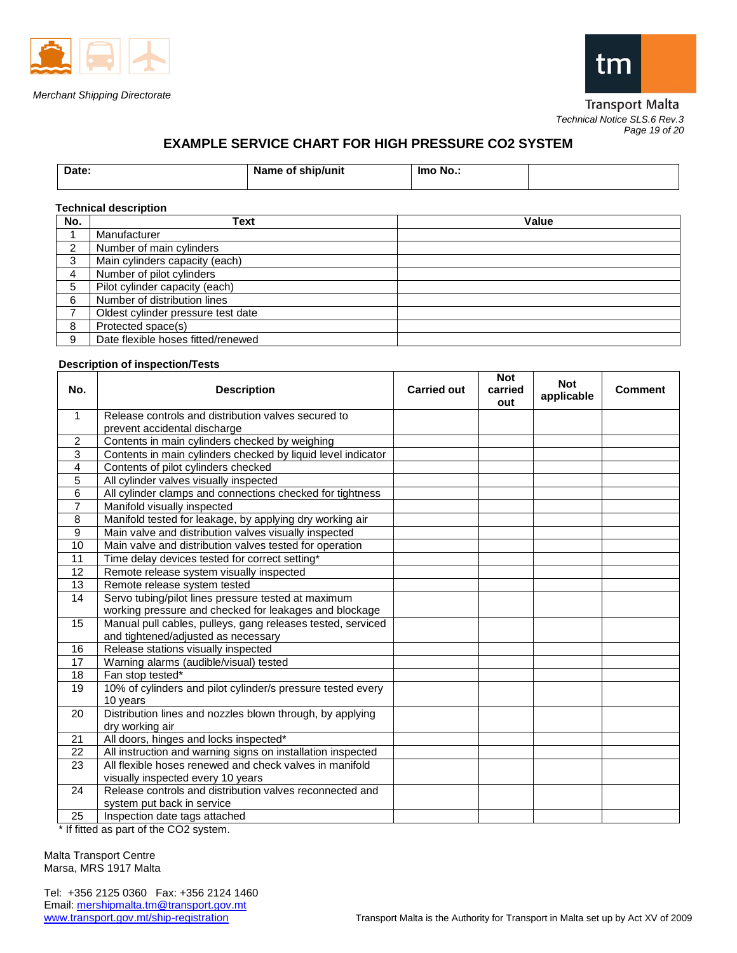



**Transport Malta** *Technical Notice SLS.6 Rev.3 Page 19 of 20*

# **EXAMPLE SERVICE CHART FOR HIGH PRESSURE CO2 SYSTEM**

| Date: | Name of ship/unit | - Imo No<br>$\sim$ |  |
|-------|-------------------|--------------------|--|
|       |                   |                    |  |

#### **Technical description**

| No. | Text                               | Value |
|-----|------------------------------------|-------|
|     | Manufacturer                       |       |
| ົ   | Number of main cylinders           |       |
| 3   | Main cylinders capacity (each)     |       |
| 4   | Number of pilot cylinders          |       |
| 5   | Pilot cylinder capacity (each)     |       |
| 6   | Number of distribution lines       |       |
|     | Oldest cylinder pressure test date |       |
| 8   | Protected space(s)                 |       |
| 9   | Date flexible hoses fitted/renewed |       |

#### **Description of inspection/Tests**

| No.            | <b>Description</b>                                           | <b>Carried out</b> | <b>Not</b><br>carried<br>out | <b>Not</b><br>applicable | <b>Comment</b> |
|----------------|--------------------------------------------------------------|--------------------|------------------------------|--------------------------|----------------|
| $\mathbf{1}$   | Release controls and distribution valves secured to          |                    |                              |                          |                |
|                | prevent accidental discharge                                 |                    |                              |                          |                |
| 2              | Contents in main cylinders checked by weighing               |                    |                              |                          |                |
| 3              | Contents in main cylinders checked by liquid level indicator |                    |                              |                          |                |
| 4              | Contents of pilot cylinders checked                          |                    |                              |                          |                |
| 5              | All cylinder valves visually inspected                       |                    |                              |                          |                |
| 6              | All cylinder clamps and connections checked for tightness    |                    |                              |                          |                |
| $\overline{7}$ | Manifold visually inspected                                  |                    |                              |                          |                |
| 8              | Manifold tested for leakage, by applying dry working air     |                    |                              |                          |                |
| 9              | Main valve and distribution valves visually inspected        |                    |                              |                          |                |
| 10             | Main valve and distribution valves tested for operation      |                    |                              |                          |                |
| 11             | Time delay devices tested for correct setting*               |                    |                              |                          |                |
| 12             | Remote release system visually inspected                     |                    |                              |                          |                |
| 13             | Remote release system tested                                 |                    |                              |                          |                |
| 14             | Servo tubing/pilot lines pressure tested at maximum          |                    |                              |                          |                |
|                | working pressure and checked for leakages and blockage       |                    |                              |                          |                |
| 15             | Manual pull cables, pulleys, gang releases tested, serviced  |                    |                              |                          |                |
|                | and tightened/adjusted as necessary                          |                    |                              |                          |                |
| 16             | Release stations visually inspected                          |                    |                              |                          |                |
| 17             | Warning alarms (audible/visual) tested                       |                    |                              |                          |                |
| 18             | Fan stop tested*                                             |                    |                              |                          |                |
| 19             | 10% of cylinders and pilot cylinder/s pressure tested every  |                    |                              |                          |                |
|                | 10 years                                                     |                    |                              |                          |                |
| 20             | Distribution lines and nozzles blown through, by applying    |                    |                              |                          |                |
|                | dry working air                                              |                    |                              |                          |                |
| 21             | All doors, hinges and locks inspected*                       |                    |                              |                          |                |
| 22             | All instruction and warning signs on installation inspected  |                    |                              |                          |                |
| 23             | All flexible hoses renewed and check valves in manifold      |                    |                              |                          |                |
|                | visually inspected every 10 years                            |                    |                              |                          |                |
| 24             | Release controls and distribution valves reconnected and     |                    |                              |                          |                |
|                | system put back in service                                   |                    |                              |                          |                |
| 25             | Inspection date tags attached                                |                    |                              |                          |                |

\* If fitted as part of the CO2 system.

Malta Transport Centre Marsa, MRS 1917 Malta

Tel: +356 2125 0360 Fax: +356 2124 1460 Email: mershipmalta.tm@transport.gov.mt<br>www.transport.gov.mt/ship-registration